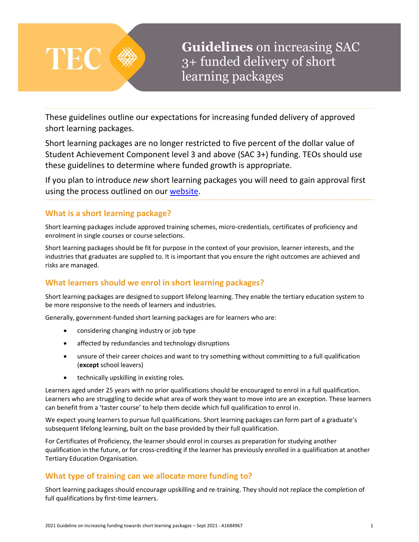

Guidelines on increasing SAC 3+ funded delivery of short learning packages

These guidelines outline our expectations for increasing funded delivery of approved short learning packages.

Short learning packages are no longer restricted to five percent of the dollar value of Student Achievement Component level 3 and above (SAC 3+) funding. TEOs should use these guidelines to determine where funded growth is appropriate.

If you plan to introduce new short learning packages you will need to gain approval first using the process outlined on our website.

#### What is a short learning package?

Short learning packages include approved training schemes, micro-credentials, certificates of proficiency and enrolment in single courses or course selections.

Short learning packages should be fit for purpose in the context of your provision, learner interests, and the industries that graduates are supplied to. It is important that you ensure the right outcomes are achieved and risks are managed.

# What learners should we enrol in short learning packages?

Short learning packages are designed to support lifelong learning. They enable the tertiary education system to be more responsive to the needs of learners and industries.

Generally, government-funded short learning packages are for learners who are:

- considering changing industry or job type
- affected by redundancies and technology disruptions
- unsure of their career choices and want to try something without committing to a full qualification (except school leavers)
- **•** technically upskilling in existing roles.

Learners aged under 25 years with no prior qualifications should be encouraged to enrol in a full qualification. Learners who are struggling to decide what area of work they want to move into are an exception. These learners can benefit from a 'taster course' to help them decide which full qualification to enrol in.

We expect young learners to pursue full qualifications. Short learning packages can form part of a graduate's subsequent lifelong learning, built on the base provided by their full qualification.

For Certificates of Proficiency, the learner should enrol in courses as preparation for studying another qualification in the future, or for cross-crediting if the learner has previously enrolled in a qualification at another Tertiary Education Organisation.

# What type of training can we allocate more funding to?

Short learning packages should encourage upskilling and re-training. They should not replace the completion of full qualifications by first-time learners.